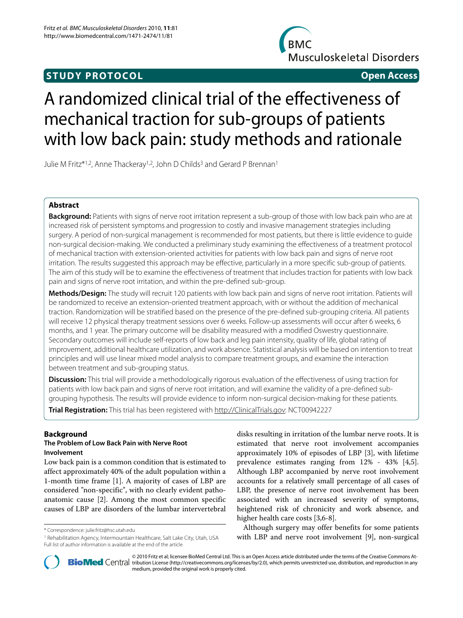## **STUDY PROTOCOL Open Access**



# A randomized clinical trial of the effectiveness of mechanical traction for sub-groups of patients with low back pain: study methods and rationale

Julie M Fritz\*1,2, Anne Thackeray<sup>1,2</sup>, John D Childs<sup>3</sup> and Gerard P Brennan<sup>1</sup>

## **Abstract**

**Background:** Patients with signs of nerve root irritation represent a sub-group of those with low back pain who are at increased risk of persistent symptoms and progression to costly and invasive management strategies including surgery. A period of non-surgical management is recommended for most patients, but there is little evidence to guide non-surgical decision-making. We conducted a preliminary study examining the effectiveness of a treatment protocol of mechanical traction with extension-oriented activities for patients with low back pain and signs of nerve root irritation. The results suggested this approach may be effective, particularly in a more specific sub-group of patients. The aim of this study will be to examine the effectiveness of treatment that includes traction for patients with low back pain and signs of nerve root irritation, and within the pre-defined sub-group.

**Methods/Design:** The study will recruit 120 patients with low back pain and signs of nerve root irritation. Patients will be randomized to receive an extension-oriented treatment approach, with or without the addition of mechanical traction. Randomization will be stratified based on the presence of the pre-defined sub-grouping criteria. All patients will receive 12 physical therapy treatment sessions over 6 weeks. Follow-up assessments will occur after 6 weeks, 6 months, and 1 year. The primary outcome will be disability measured with a modified Oswestry questionnaire. Secondary outcomes will include self-reports of low back and leg pain intensity, quality of life, global rating of improvement, additional healthcare utilization, and work absence. Statistical analysis will be based on intention to treat principles and will use linear mixed model analysis to compare treatment groups, and examine the interaction between treatment and sub-grouping status.

**Discussion:** This trial will provide a methodologically rigorous evaluation of the effectiveness of using traction for patients with low back pain and signs of nerve root irritation, and will examine the validity of a pre-defined subgrouping hypothesis. The results will provide evidence to inform non-surgical decision-making for these patients.

**Trial Registration:** This trial has been registered with [http://ClinicalTrials.gov:](http://ClinicalTrials.gov) NCT00942227

## **Background**

## **The Problem of Low Back Pain with Nerve Root Involvement**

Low back pain is a common condition that is estimated to affect approximately 40% of the adult population within a 1-month time frame [\[1](#page-7-0)]. A majority of cases of LBP are considered "non-specific", with no clearly evident pathoanatomic cause [\[2](#page-7-1)]. Among the most common specific causes of LBP are disorders of the lumbar intervertebral

disks resulting in irritation of the lumbar nerve roots. It is estimated that nerve root involvement accompanies approximately 10% of episodes of LBP [[3\]](#page-8-0), with lifetime prevalence estimates ranging from 12% - 43% [\[4](#page-8-1)[,5](#page-8-2)]. Although LBP accompanied by nerve root involvement accounts for a relatively small percentage of all cases of LBP, the presence of nerve root involvement has been associated with an increased severity of symptoms, heightened risk of chronicity and work absence, and higher health care costs [[3,](#page-8-0)[6](#page-8-3)[-8](#page-8-4)].

Although surgery may offer benefits for some patients with LBP and nerve root involvement [[9\]](#page-8-5), non-surgical



© 2010 Fritz et al; licensee [BioMed](http://www.biomedcentral.com/) Central Ltd. This is an Open Access article distributed under the terms of the Creative Commons At-<br>Bio Med Central tribution License (http://creativecommons.org/licenses/by/2.0), which medium, provided the original work is properly cited.

<sup>\*</sup> Correspondence: julie.fritz@hsc.utah.edu

<sup>1</sup> Rehabilitation Agency, Intermountain Healthcare, Salt Lake City, Utah, USA Full list of author information is available at the end of the article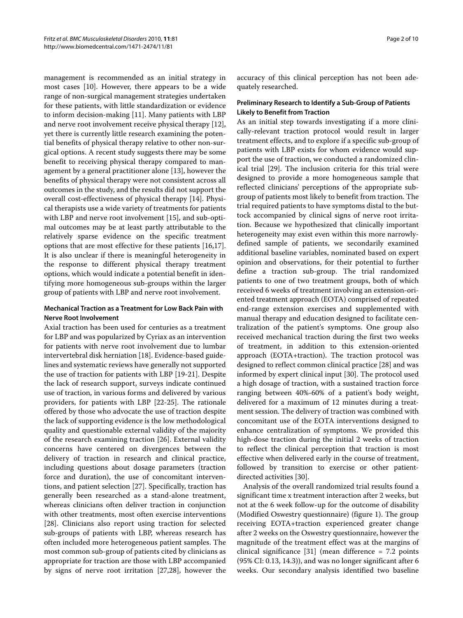management is recommended as an initial strategy in most cases [[10](#page-8-6)]. However, there appears to be a wide range of non-surgical management strategies undertaken for these patients, with little standardization or evidence to inform decision-making [[11\]](#page-8-7). Many patients with LBP and nerve root involvement receive physical therapy [\[12](#page-8-8)], yet there is currently little research examining the potential benefits of physical therapy relative to other non-surgical options. A recent study suggests there may be some benefit to receiving physical therapy compared to management by a general practitioner alone [[13\]](#page-8-9), however the benefits of physical therapy were not consistent across all outcomes in the study, and the results did not support the overall cost-effectiveness of physical therapy [[14\]](#page-8-10). Physical therapists use a wide variety of treatments for patients with LBP and nerve root involvement [\[15\]](#page-8-11), and sub-optimal outcomes may be at least partly attributable to the relatively sparse evidence on the specific treatment options that are most effective for these patients [\[16](#page-8-12)[,17](#page-8-13)]. It is also unclear if there is meaningful heterogeneity in the response to different physical therapy treatment options, which would indicate a potential benefit in identifying more homogeneous sub-groups within the larger group of patients with LBP and nerve root involvement.

## **Mechanical Traction as a Treatment for Low Back Pain with Nerve Root Involvement**

Axial traction has been used for centuries as a treatment for LBP and was popularized by Cyriax as an intervention for patients with nerve root involvement due to lumbar intervertebral disk herniation [\[18](#page-8-14)]. Evidence-based guidelines and systematic reviews have generally not supported the use of traction for patients with LBP [\[19](#page-8-15)[-21](#page-8-16)]. Despite the lack of research support, surveys indicate continued use of traction, in various forms and delivered by various providers, for patients with LBP [\[22](#page-8-17)-[25\]](#page-8-18). The rationale offered by those who advocate the use of traction despite the lack of supporting evidence is the low methodological quality and questionable external validity of the majority of the research examining traction [\[26](#page-8-19)]. External validity concerns have centered on divergences between the delivery of traction in research and clinical practice, including questions about dosage parameters (traction force and duration), the use of concomitant interventions, and patient selection [\[27](#page-8-20)]. Specifically, traction has generally been researched as a stand-alone treatment, whereas clinicians often deliver traction in conjunction with other treatments, most often exercise interventions [[28\]](#page-8-21). Clinicians also report using traction for selected sub-groups of patients with LBP, whereas research has often included more heterogeneous patient samples. The most common sub-group of patients cited by clinicians as appropriate for traction are those with LBP accompanied by signs of nerve root irritation [\[27](#page-8-20)[,28](#page-8-21)], however the accuracy of this clinical perception has not been adequately researched.

## **Preliminary Research to Identify a Sub-Group of Patients Likely to Benefit from Traction**

As an initial step towards investigating if a more clinically-relevant traction protocol would result in larger treatment effects, and to explore if a specific sub-group of patients with LBP exists for whom evidence would support the use of traction, we conducted a randomized clinical trial [\[29](#page-8-22)]. The inclusion criteria for this trial were designed to provide a more homogeneous sample that reflected clinicians' perceptions of the appropriate subgroup of patients most likely to benefit from traction. The trial required patients to have symptoms distal to the buttock accompanied by clinical signs of nerve root irritation. Because we hypothesized that clinically important heterogeneity may exist even within this more narrowlydefined sample of patients, we secondarily examined additional baseline variables, nominated based on expert opinion and observations, for their potential to further define a traction sub-group. The trial randomized patients to one of two treatment groups, both of which received 6 weeks of treatment involving an extension-oriented treatment approach (EOTA) comprised of repeated end-range extension exercises and supplemented with manual therapy and education designed to facilitate centralization of the patient's symptoms. One group also received mechanical traction during the first two weeks of treatment, in addition to this extension-oriented approach (EOTA+traction). The traction protocol was designed to reflect common clinical practice [[28](#page-8-21)] and was informed by expert clinical input [[30](#page-8-23)]. The protocol used a high dosage of traction, with a sustained traction force ranging between 40%-60% of a patient's body weight, delivered for a maximum of 12 minutes during a treatment session. The delivery of traction was combined with concomitant use of the EOTA interventions designed to enhance centralization of symptoms. We provided this high-dose traction during the initial 2 weeks of traction to reflect the clinical perception that traction is most effective when delivered early in the course of treatment, followed by transition to exercise or other patientdirected activities [[30](#page-8-23)].

Analysis of the overall randomized trial results found a significant time x treatment interaction after 2 weeks, but not at the 6 week follow-up for the outcome of disability (Modified Oswestry questionnaire) (figure [1\)](#page-2-0). The group receiving EOTA+traction experienced greater change after 2 weeks on the Oswestry questionnaire, however the magnitude of the treatment effect was at the margins of clinical significance [[31\]](#page-8-24) (mean difference = 7.2 points (95% CI: 0.13, 14.3)), and was no longer significant after 6 weeks. Our secondary analysis identified two baseline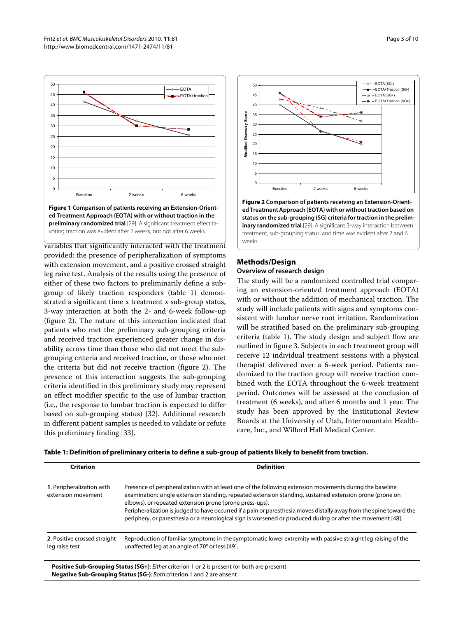<span id="page-2-0"></span>

**ed Treatment Approach (EOTA) with or without traction in the preliminary randomized trial** [\[29](#page-8-22)]. A significant treatment effect favoring traction was evident after 2 weeks, but not after 6 weeks.

variables that significantly interacted with the treatment provided: the presence of peripheralization of symptoms with extension movement, and a positive crossed straight leg raise test. Analysis of the results using the presence of either of these two factors to preliminarily define a subgroup of likely traction responders (table 1) demonstrated a significant time x treatment x sub-group status, 3-way interaction at both the 2- and 6-week follow-up (figure [2\)](#page-2-1). The nature of this interaction indicated that patients who met the preliminary sub-grouping criteria and received traction experienced greater change in disability across time than those who did not meet the subgrouping criteria and received traction, or those who met the criteria but did not receive traction (figure [2\)](#page-2-1). The presence of this interaction suggests the sub-grouping criteria identified in this preliminary study may represent an effect modifier specific to the use of lumbar traction (i.e., the response to lumbar traction is expected to differ based on sub-grouping status) [\[32\]](#page-8-25). Additional research in different patient samples is needed to validate or refute this preliminary finding [[33\]](#page-8-26).

<span id="page-2-1"></span>

**ed Treatment Approach (EOTA) with or without traction based on status on the sub-grouping (SG) criteria for traction in the preliminary randomized trial** [[29\]](#page-8-22). A significant 3-way interaction between treatment, sub-grouping status, and time was evident after 2 and 6 weeks.

## **Methods/Design Overview of research design**

The study will be a randomized controlled trial comparing an extension-oriented treatment approach (EOTA) with or without the addition of mechanical traction. The study will include patients with signs and symptoms consistent with lumbar nerve root irritation. Randomization will be stratified based on the preliminary sub-grouping criteria (table 1). The study design and subject flow are outlined in figure [3](#page-3-0). Subjects in each treatment group will receive 12 individual treatment sessions with a physical therapist delivered over a 6-week period. Patients randomized to the traction group will receive traction combined with the EOTA throughout the 6-week treatment period. Outcomes will be assessed at the conclusion of treatment (6 weeks), and after 6 months and 1 year. The study has been approved by the Institutional Review Boards at the University of Utah, Intermountain Healthcare, Inc., and Wilford Hall Medical Center.

|  |  | Table 1: Definition of preliminary criteria to define a sub-group of patients likely to benefit from traction. |
|--|--|----------------------------------------------------------------------------------------------------------------|
|  |  |                                                                                                                |

| <b>Criterion</b>                                       | <b>Definition</b>                                                                                                                                                                                                                                                                                                                                                                                                                                                                                                     |  |  |
|--------------------------------------------------------|-----------------------------------------------------------------------------------------------------------------------------------------------------------------------------------------------------------------------------------------------------------------------------------------------------------------------------------------------------------------------------------------------------------------------------------------------------------------------------------------------------------------------|--|--|
| <b>1.</b> Peripheralization with<br>extension movement | Presence of peripheralization with at least one of the following extension movements during the baseline<br>examination: single extension standing, repeated extension standing, sustained extension prone (prone on<br>elbows), or repeated extension prone (prone press-ups).<br>Peripheralization is judged to have occurred if a pain or paresthesia moves distally away from the spine toward the<br>periphery, or paresthesia or a neurological sign is worsened or produced during or after the movement [48]. |  |  |
| 2. Positive crossed straight<br>leg raise test         | Reproduction of familiar symptoms in the symptomatic lower extremity with passive straight leg raising of the<br>unaffected leg at an angle of 70° or less [49].                                                                                                                                                                                                                                                                                                                                                      |  |  |
|                                                        | <b>Positive Sub-Grouping Status (SG+):</b> <i>Either</i> criterion 1 or 2 is present (or both are present)<br><b>Negative Sub-Grouping Status (SG-):</b> Both criterion 1 and 2 are absent                                                                                                                                                                                                                                                                                                                            |  |  |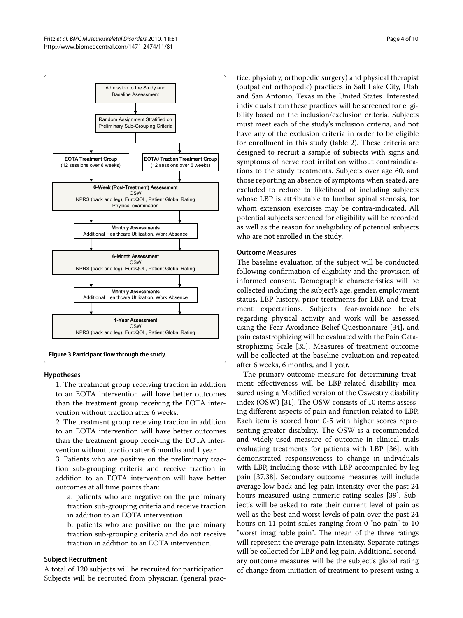<span id="page-3-0"></span>

#### **Hypotheses**

1. The treatment group receiving traction in addition to an EOTA intervention will have better outcomes than the treatment group receiving the EOTA intervention without traction after 6 weeks.

2. The treatment group receiving traction in addition to an EOTA intervention will have better outcomes than the treatment group receiving the EOTA intervention without traction after 6 months and 1 year.

3. Patients who are positive on the preliminary traction sub-grouping criteria and receive traction in addition to an EOTA intervention will have better outcomes at all time points than:

a. patients who are negative on the preliminary traction sub-grouping criteria and receive traction in addition to an EOTA intervention

b. patients who are positive on the preliminary traction sub-grouping criteria and do not receive traction in addition to an EOTA intervention.

## **Subject Recruitment**

A total of 120 subjects will be recruited for participation. Subjects will be recruited from physician (general practice, physiatry, orthopedic surgery) and physical therapist (outpatient orthopedic) practices in Salt Lake City, Utah and San Antonio, Texas in the United States. Interested individuals from these practices will be screened for eligibility based on the inclusion/exclusion criteria. Subjects must meet each of the study's inclusion criteria, and not have any of the exclusion criteria in order to be eligible for enrollment in this study (table 2). These criteria are designed to recruit a sample of subjects with signs and symptoms of nerve root irritation without contraindications to the study treatments. Subjects over age 60, and those reporting an absence of symptoms when seated, are excluded to reduce to likelihood of including subjects whose LBP is attributable to lumbar spinal stenosis, for whom extension exercises may be contra-indicated. All potential subjects screened for eligibility will be recorded as well as the reason for ineligibility of potential subjects who are not enrolled in the study.

## **Outcome Measures**

The baseline evaluation of the subject will be conducted following confirmation of eligibility and the provision of informed consent. Demographic characteristics will be collected including the subject's age, gender, employment status, LBP history, prior treatments for LBP, and treatment expectations. Subjects' fear-avoidance beliefs regarding physical activity and work will be assessed using the Fear-Avoidance Belief Questionnaire [[34\]](#page-8-27), and pain catastrophizing will be evaluated with the Pain Catastrophizing Scale [[35](#page-8-28)]. Measures of treatment outcome will be collected at the baseline evaluation and repeated after 6 weeks, 6 months, and 1 year.

The primary outcome measure for determining treatment effectiveness will be LBP-related disability measured using a Modified version of the Oswestry disability index (OSW) [\[31](#page-8-24)]. The OSW consists of 10 items assessing different aspects of pain and function related to LBP. Each item is scored from 0-5 with higher scores representing greater disability. The OSW is a recommended and widely-used measure of outcome in clinical trials evaluating treatments for patients with LBP [[36](#page-8-29)], with demonstrated responsiveness to change in individuals with LBP, including those with LBP accompanied by leg pain [[37](#page-8-30),[38\]](#page-8-31). Secondary outcome measures will include average low back and leg pain intensity over the past 24 hours measured using numeric rating scales [\[39\]](#page-8-32). Subject's will be asked to rate their current level of pain as well as the best and worst levels of pain over the past 24 hours on 11-point scales ranging from 0 "no pain" to 10 "worst imaginable pain". The mean of the three ratings will represent the average pain intensity. Separate ratings will be collected for LBP and leg pain. Additional secondary outcome measures will be the subject's global rating of change from initiation of treatment to present using a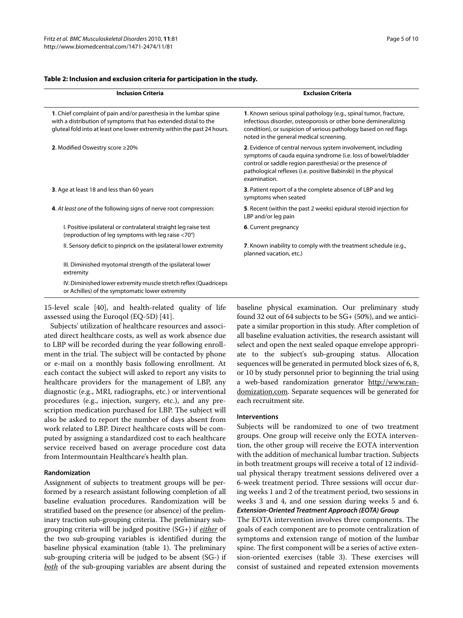| <b>Inclusion Criteria</b>                                                                                                                                                                                        | <b>Exclusion Criteria</b>                                                                                                                                                                                                                                                   |
|------------------------------------------------------------------------------------------------------------------------------------------------------------------------------------------------------------------|-----------------------------------------------------------------------------------------------------------------------------------------------------------------------------------------------------------------------------------------------------------------------------|
| 1. Chief complaint of pain and/or paresthesia in the lumbar spine<br>with a distribution of symptoms that has extended distal to the<br>gluteal fold into at least one lower extremity within the past 24 hours. | 1. Known serious spinal pathology (e.g., spinal tumor, fracture,<br>infectious disorder, osteoporosis or other bone demineralizing<br>condition), or suspicion of serious pathology based on red flags<br>noted in the general medical screening.                           |
| 2. Modified Oswestry score ≥20%                                                                                                                                                                                  | 2. Evidence of central nervous system involvement, including<br>symptoms of cauda equina syndrome (i.e. loss of bowel/bladder<br>control or saddle region paresthesia) or the presence of<br>pathological reflexes (i.e. positive Babinski) in the physical<br>examination. |
| 3. Age at least 18 and less than 60 years                                                                                                                                                                        | <b>3.</b> Patient report of a the complete absence of LBP and leg<br>symptoms when seated                                                                                                                                                                                   |
| 4. At least one of the following signs of nerve root compression:                                                                                                                                                | <b>5.</b> Recent (within the past 2 weeks) epidural steroid injection for<br>LBP and/or leg pain                                                                                                                                                                            |
| I. Positive ipsilateral or contralateral straight leg raise test<br>(reproduction of leg symptoms with leg raise <70°)                                                                                           | <b>6.</b> Current pregnancy                                                                                                                                                                                                                                                 |
| II. Sensory deficit to pinprick on the ipsilateral lower extremity                                                                                                                                               | 7. Known inability to comply with the treatment schedule (e.g.,<br>planned vacation, etc.)                                                                                                                                                                                  |
| III. Diminished myotomal strength of the ipsilateral lower<br>extremity                                                                                                                                          |                                                                                                                                                                                                                                                                             |
| IV. Diminished lower extremity muscle stretch reflex (Quadriceps<br>or Achilles) of the symptomatic lower extremity                                                                                              |                                                                                                                                                                                                                                                                             |

#### **Table 2: Inclusion and exclusion criteria for participation in the study.**

15-level scale [[40\]](#page-8-33), and health-related quality of life assessed using the Euroqol (EQ-5D) [[41](#page-8-34)].

Subjects' utilization of healthcare resources and associated direct healthcare costs, as well as work absence due to LBP will be recorded during the year following enrollment in the trial. The subject will be contacted by phone or e-mail on a monthly basis following enrollment. At each contact the subject will asked to report any visits to healthcare providers for the management of LBP, any diagnostic (e.g., MRI, radiographs, etc.) or interventional procedures (e.g., injection, surgery, etc.), and any prescription medication purchased for LBP. The subject will also be asked to report the number of days absent from work related to LBP. Direct healthcare costs will be computed by assigning a standardized cost to each healthcare service received based on average procedure cost data from Intermountain Healthcare's health plan.

#### **Randomization**

Assignment of subjects to treatment groups will be performed by a research assistant following completion of all baseline evaluation procedures. Randomization will be stratified based on the presence (or absence) of the preliminary traction sub-grouping criteria. The preliminary subgrouping criteria will be judged positive (SG+) if *either* of the two sub-grouping variables is identified during the baseline physical examination (table 1). The preliminary sub-grouping criteria will be judged to be absent (SG-) if *both* of the sub-grouping variables are absent during the baseline physical examination. Our preliminary study found 32 out of 64 subjects to be SG+ (50%), and we anticipate a similar proportion in this study. After completion of all baseline evaluation activities, the research assistant will select and open the next sealed opaque envelope appropriate to the subject's sub-grouping status. Allocation sequences will be generated in permuted block sizes of 6, 8, or 10 by study personnel prior to beginning the trial using a web-based randomization generator [http://www.ran](http://www.randomization.com)[domization.com](http://www.randomization.com). Separate sequences will be generated for each recruitment site.

## **Interventions**

Subjects will be randomized to one of two treatment groups. One group will receive only the EOTA intervention, the other group will receive the EOTA intervention with the addition of mechanical lumbar traction. Subjects in both treatment groups will receive a total of 12 individual physical therapy treatment sessions delivered over a 6-week treatment period. Three sessions will occur during weeks 1 and 2 of the treatment period, two sessions in weeks 3 and 4, and one session during weeks 5 and 6. **Extension-Oriented Treatment Approach (EOTA) Group**

The EOTA intervention involves three components. The goals of each component are to promote centralization of symptoms and extension range of motion of the lumbar spine. The first component will be a series of active extension-oriented exercises (table 3). These exercises will consist of sustained and repeated extension movements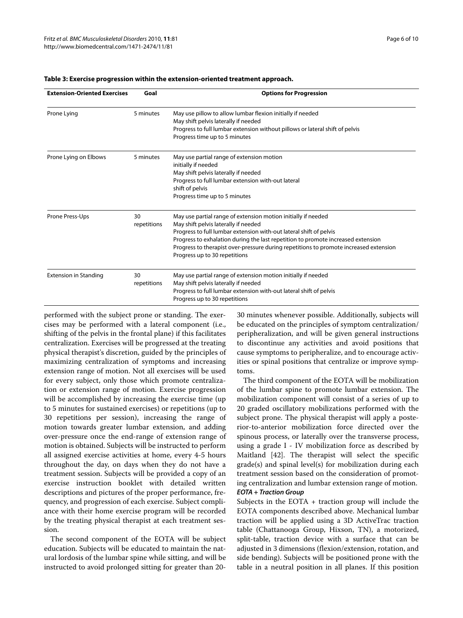| <b>Extension-Oriented Exercises</b> | Goal        | <b>Options for Progression</b>                                                                                                                                            |
|-------------------------------------|-------------|---------------------------------------------------------------------------------------------------------------------------------------------------------------------------|
| Prone Lying                         | 5 minutes   | May use pillow to allow lumbar flexion initially if needed<br>May shift pelvis laterally if needed                                                                        |
|                                     |             | Progress to full lumbar extension without pillows or lateral shift of pelvis<br>Progress time up to 5 minutes                                                             |
| Prone Lying on Elbows               | 5 minutes   | May use partial range of extension motion<br>initially if needed                                                                                                          |
|                                     |             | May shift pelvis laterally if needed                                                                                                                                      |
|                                     |             | Progress to full lumbar extension with-out lateral                                                                                                                        |
|                                     |             | shift of pelvis                                                                                                                                                           |
|                                     |             | Progress time up to 5 minutes                                                                                                                                             |
| Prone Press-Ups                     | 30          | May use partial range of extension motion initially if needed                                                                                                             |
|                                     | repetitions | May shift pelvis laterally if needed                                                                                                                                      |
|                                     |             | Progress to full lumbar extension with-out lateral shift of pelvis                                                                                                        |
|                                     |             | Progress to exhalation during the last repetition to promote increased extension<br>Progress to therapist over-pressure during repetitions to promote increased extension |
|                                     |             | Progress up to 30 repetitions                                                                                                                                             |
|                                     |             |                                                                                                                                                                           |
| <b>Extension in Standing</b>        | 30          | May use partial range of extension motion initially if needed                                                                                                             |
|                                     | repetitions | May shift pelvis laterally if needed                                                                                                                                      |
|                                     |             | Progress to full lumbar extension with-out lateral shift of pelvis                                                                                                        |
|                                     |             | Progress up to 30 repetitions                                                                                                                                             |

#### **Table 3: Exercise progression within the extension-oriented treatment approach.**

performed with the subject prone or standing. The exercises may be performed with a lateral component (i.e., shifting of the pelvis in the frontal plane) if this facilitates centralization. Exercises will be progressed at the treating physical therapist's discretion, guided by the principles of maximizing centralization of symptoms and increasing extension range of motion. Not all exercises will be used for every subject, only those which promote centralization or extension range of motion. Exercise progression will be accomplished by increasing the exercise time (up to 5 minutes for sustained exercises) or repetitions (up to 30 repetitions per session), increasing the range of motion towards greater lumbar extension, and adding over-pressure once the end-range of extension range of motion is obtained. Subjects will be instructed to perform all assigned exercise activities at home, every 4-5 hours throughout the day, on days when they do not have a treatment session. Subjects will be provided a copy of an exercise instruction booklet with detailed written descriptions and pictures of the proper performance, frequency, and progression of each exercise. Subject compliance with their home exercise program will be recorded by the treating physical therapist at each treatment session.

The second component of the EOTA will be subject education. Subjects will be educated to maintain the natural lordosis of the lumbar spine while sitting, and will be instructed to avoid prolonged sitting for greater than 20-

30 minutes whenever possible. Additionally, subjects will be educated on the principles of symptom centralization/ peripheralization, and will be given general instructions to discontinue any activities and avoid positions that cause symptoms to peripheralize, and to encourage activities or spinal positions that centralize or improve symptoms.

The third component of the EOTA will be mobilization of the lumbar spine to promote lumbar extension. The mobilization component will consist of a series of up to 20 graded oscillatory mobilizations performed with the subject prone. The physical therapist will apply a posterior-to-anterior mobilization force directed over the spinous process, or laterally over the transverse process, using a grade I - IV mobilization force as described by Maitland [\[42](#page-8-35)]. The therapist will select the specific grade(s) and spinal level(s) for mobilization during each treatment session based on the consideration of promoting centralization and lumbar extension range of motion. **EOTA + Traction Group**

Subjects in the EOTA + traction group will include the EOTA components described above. Mechanical lumbar traction will be applied using a 3D ActiveTrac traction table (Chattanooga Group, Hixson, TN), a motorized, split-table, traction device with a surface that can be adjusted in 3 dimensions (flexion/extension, rotation, and side bending). Subjects will be positioned prone with the table in a neutral position in all planes. If this position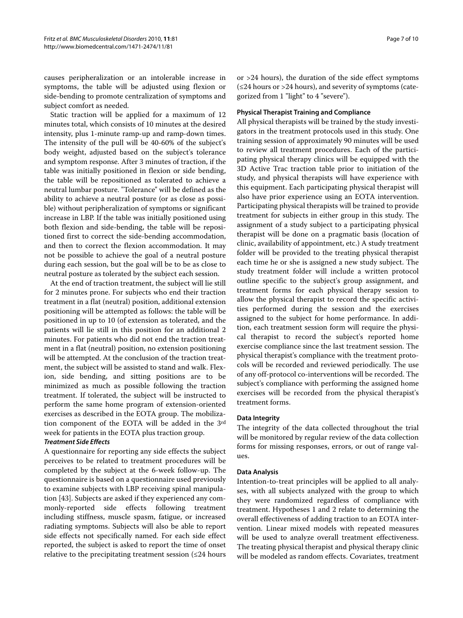causes peripheralization or an intolerable increase in symptoms, the table will be adjusted using flexion or side-bending to promote centralization of symptoms and subject comfort as needed.

Static traction will be applied for a maximum of 12 minutes total, which consists of 10 minutes at the desired intensity, plus 1-minute ramp-up and ramp-down times. The intensity of the pull will be 40-60% of the subject's body weight, adjusted based on the subject's tolerance and symptom response. After 3 minutes of traction, if the table was initially positioned in flexion or side bending, the table will be repositioned as tolerated to achieve a neutral lumbar posture. "Tolerance" will be defined as the ability to achieve a neutral posture (or as close as possible) without peripheralization of symptoms or significant increase in LBP. If the table was initially positioned using both flexion and side-bending, the table will be repositioned first to correct the side-bending accommodation, and then to correct the flexion accommodation. It may not be possible to achieve the goal of a neutral posture during each session, but the goal will be to be as close to neutral posture as tolerated by the subject each session.

At the end of traction treatment, the subject will lie still for 2 minutes prone. For subjects who end their traction treatment in a flat (neutral) position, additional extension positioning will be attempted as follows: the table will be positioned in up to 10 (of extension as tolerated, and the patients will lie still in this position for an additional 2 minutes. For patients who did not end the traction treatment in a flat (neutral) position, no extension positioning will be attempted. At the conclusion of the traction treatment, the subject will be assisted to stand and walk. Flexion, side bending, and sitting positions are to be minimized as much as possible following the traction treatment. If tolerated, the subject will be instructed to perform the same home program of extension-oriented exercises as described in the EOTA group. The mobilization component of the EOTA will be added in the 3rd week for patients in the EOTA plus traction group.

## **Treatment Side Effects**

A questionnaire for reporting any side effects the subject perceives to be related to treatment procedures will be completed by the subject at the 6-week follow-up. The questionnaire is based on a questionnaire used previously to examine subjects with LBP receiving spinal manipulation [[43](#page-8-36)]. Subjects are asked if they experienced any commonly-reported side effects following treatment including stiffness, muscle spasm, fatigue, or increased radiating symptoms. Subjects will also be able to report side effects not specifically named. For each side effect reported, the subject is asked to report the time of onset relative to the precipitating treatment session  $(\leq 24$  hours or >24 hours), the duration of the side effect symptoms (≤24 hours or >24 hours), and severity of symptoms (categorized from 1 "light" to 4 "severe").

## **Physical Therapist Training and Compliance**

All physical therapists will be trained by the study investigators in the treatment protocols used in this study. One training session of approximately 90 minutes will be used to review all treatment procedures. Each of the participating physical therapy clinics will be equipped with the 3D Active Trac traction table prior to initiation of the study, and physical therapists will have experience with this equipment. Each participating physical therapist will also have prior experience using an EOTA intervention. Participating physical therapists will be trained to provide treatment for subjects in either group in this study. The assignment of a study subject to a participating physical therapist will be done on a pragmatic basis (location of clinic, availability of appointment, etc.) A study treatment folder will be provided to the treating physical therapist each time he or she is assigned a new study subject. The study treatment folder will include a written protocol outline specific to the subject's group assignment, and treatment forms for each physical therapy session to allow the physical therapist to record the specific activities performed during the session and the exercises assigned to the subject for home performance. In addition, each treatment session form will require the physical therapist to record the subject's reported home exercise compliance since the last treatment session. The physical therapist's compliance with the treatment protocols will be recorded and reviewed periodically. The use of any off-protocol co-interventions will be recorded. The subject's compliance with performing the assigned home exercises will be recorded from the physical therapist's treatment forms.

## **Data Integrity**

The integrity of the data collected throughout the trial will be monitored by regular review of the data collection forms for missing responses, errors, or out of range values.

## **Data Analysis**

Intention-to-treat principles will be applied to all analyses, with all subjects analyzed with the group to which they were randomized regardless of compliance with treatment. Hypotheses 1 and 2 relate to determining the overall effectiveness of adding traction to an EOTA intervention. Linear mixed models with repeated measures will be used to analyze overall treatment effectiveness. The treating physical therapist and physical therapy clinic will be modeled as random effects. Covariates, treatment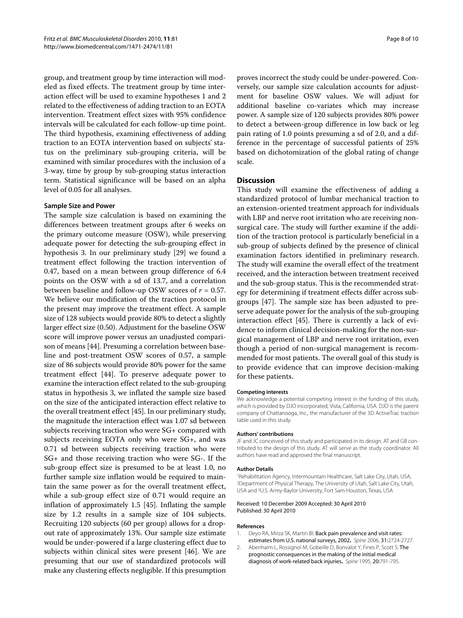group, and treatment group by time interaction will modeled as fixed effects. The treatment group by time interaction effect will be used to examine hypotheses 1 and 2 related to the effectiveness of adding traction to an EOTA intervention. Treatment effect sizes with 95% confidence intervals will be calculated for each follow-up time point. The third hypothesis, examining effectiveness of adding traction to an EOTA intervention based on subjects' status on the preliminary sub-grouping criteria, will be examined with similar procedures with the inclusion of a 3-way, time by group by sub-grouping status interaction term. Statistical significance will be based on an alpha level of 0.05 for all analyses.

## **Sample Size and Power**

The sample size calculation is based on examining the differences between treatment groups after 6 weeks on the primary outcome measure (OSW), while preserving adequate power for detecting the sub-grouping effect in hypothesis 3. In our preliminary study [\[29](#page-8-22)] we found a treatment effect following the traction intervention of 0.47, based on a mean between group difference of 6.4 points on the OSW with a sd of 13.7, and a correlation between baseline and follow-up OSW scores of *r* = 0.57. We believe our modification of the traction protocol in the present may improve the treatment effect. A sample size of 128 subjects would provide 80% to detect a slightly larger effect size (0.50). Adjustment for the baseline OSW score will improve power versus an unadjusted comparison of means [\[44](#page-8-37)]. Presuming a correlation between baseline and post-treatment OSW scores of 0.57, a sample size of 86 subjects would provide 80% power for the same treatment effect [\[44](#page-8-37)]. To preserve adequate power to examine the interaction effect related to the sub-grouping status in hypothesis 3, we inflated the sample size based on the size of the anticipated interaction effect relative to the overall treatment effect [\[45\]](#page-8-38). In our preliminary study, the magnitude the interaction effect was 1.07 sd between subjects receiving traction who were SG+ compared with subjects receiving EOTA only who were SG+, and was 0.71 sd between subjects receiving traction who were SG+ and those receiving traction who were SG-. If the sub-group effect size is presumed to be at least 1.0, no further sample size inflation would be required to maintain the same power as for the overall treatment effect, while a sub-group effect size of 0.71 would require an inflation of approximately 1.5 [[45](#page-8-38)]. Inflating the sample size by 1.2 results in a sample size of 104 subjects. Recruiting 120 subjects (60 per group) allows for a dropout rate of approximately 13%. Our sample size estimate would be under-powered if a large clustering effect due to subjects within clinical sites were present [[46\]](#page-8-39). We are presuming that our use of standardized protocols will make any clustering effects negligible. If this presumption

proves incorrect the study could be under-powered. Conversely, our sample size calculation accounts for adjustment for baseline OSW values. We will adjust for additional baseline co-variates which may increase power. A sample size of 120 subjects provides 80% power to detect a between-group difference in low back or leg pain rating of 1.0 points presuming a sd of 2.0, and a difference in the percentage of successful patients of 25% based on dichotomization of the global rating of change scale.

## **Discussion**

This study will examine the effectiveness of adding a standardized protocol of lumbar mechanical traction to an extension-oriented treatment approach for individuals with LBP and nerve root irritation who are receiving nonsurgical care. The study will further examine if the addition of the traction protocol is particularly beneficial in a sub-group of subjects defined by the presence of clinical examination factors identified in preliminary research. The study will examine the overall effect of the treatment received, and the interaction between treatment received and the sub-group status. This is the recommended strategy for determining if treatment effects differ across subgroups [[47\]](#page-8-40). The sample size has been adjusted to preserve adequate power for the analysis of the sub-grouping interaction effect [\[45](#page-8-38)]. There is currently a lack of evidence to inform clinical decision-making for the non-surgical management of LBP and nerve root irritation, even though a period of non-surgical management is recommended for most patients. The overall goal of this study is to provide evidence that can improve decision-making for these patients.

#### **Competing interests**

We acknowledge a potential competing interest in the funding of this study, which is provided by DJO incorporated, Vista, California, USA. DJO is the parent company of Chattanooga, Inc., the manufacturer of the 3D ActiveTrac traction table used in this study.

#### **Authors' contributions**

JF and JC conceived of this study and participated in its design. AT and GB contributed to the design of this study. AT will serve as the study coordinator. All authors have read and approved the final manuscript.

#### **Author Details**

1Rehabilitation Agency, Intermountain Healthcare, Salt Lake City, Utah, USA, 2Department of Physical Therapy, The University of Utah, Salt Lake City, Utah, USA and 3U.S. Army-Baylor University, Fort Sam Houston, Texas, USA

#### Received: 10 December 2009 Accepted: 30 April 2010 Published: 30 April 2010

#### **References**

- <span id="page-7-0"></span>1. Deyo RA, Mirza SK, Martin BI: Back pain prevalence and visit rates: estimates from U.S. national surveys, 2002**.** Spine 2006, 31:2724-2727.
- <span id="page-7-1"></span>2. Abenhaim L, Rossignol M, Gobeille D, Bonvalot Y, Fines P, Scott S: The prognostic consequences in the making of the initial medical diagnosis of work-related back injuries**.** Spine 1995, 20:791-795.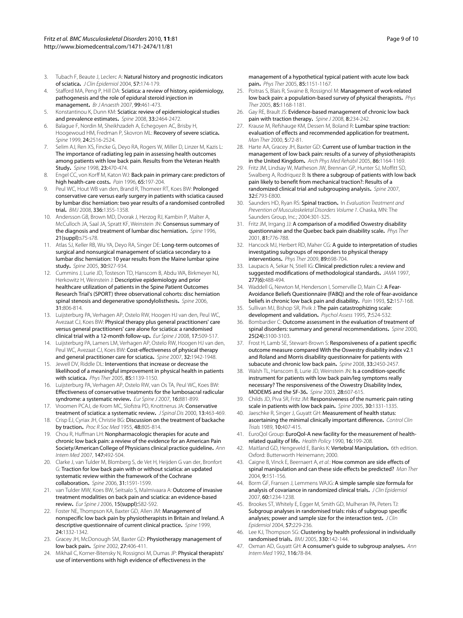- <span id="page-8-0"></span>3. Tubach F, Beaute J, Leclerc A: Natural history and prognostic indicators of sciatica**[.](http://www.ncbi.nlm.nih.gov/entrez/query.fcgi?cmd=Retrieve&db=PubMed&dopt=Abstract&list_uids=15125627)** J Clin Epidemiol 2004, 57:174-179.
- <span id="page-8-1"></span>4. Stafford MA, Peng P, Hill DA: Sciatica: a review of history, epidemiology, pathogenesis and the role of epidural steroid injection in management**.** Br J Anaesth 2007, 99:461-473.
- <span id="page-8-2"></span>5. Konstantinou K, Dunn KM: Sciatica: review of epidemiological studies and prevalence estimates**.** Spine 2008, 33:2464-2472.
- <span id="page-8-3"></span>6. Balague F, Nordin M, Sheikhzadeh A, Echegoyen AC, Brisby H, Hoogewoud HM, Fredman P, Skovron ML: Recovery of severe sciatica**.** Spine 1999, 24:2516-2524.
- 7. Selim AJ, Ren XS, Fincke G, Deyo RA, Rogers W, Miller D, Linzer M, Kazis L: The importance of radiating leg pain in assessing health outcomes among patients with low back pain. Results from the Veteran Health Study**.** Spine 1998, 23:470-474.
- <span id="page-8-4"></span>Engel CC, von Korff M, Katon WJ: Back pain in primary care: predictors of high health-care costs**[.](http://www.ncbi.nlm.nih.gov/entrez/query.fcgi?cmd=Retrieve&db=PubMed&dopt=Abstract&list_uids=8826507)** Pain 1996, 65:197-204.
- <span id="page-8-5"></span>Peul WC, Hout WB van den, Brand R, Thomeer RT, Koes BW: Prolonged conservative care versus early surgery in patients with sciatica caused by lumbar disc herniation: two year results of a randomised controlled trial**.** BMJ 2008, 336:1355-1358.
- <span id="page-8-6"></span>10. Andersson GB, Brown MD, Dvorak J, Herzog RJ, Kambin P, Malter A, McCulloch JA, Saal JA, Spratt KF, Weinstein JN: Consensus summary of the diagnosis and treatment of lumbar disc herniation**.** Spine 1996, 21(suppl):s75-s78.
- <span id="page-8-7"></span>11. Atlas SJ, Keller RB, Wu YA, Deyo RA, Singer DE: Long-term outcomes of surgical and nonsurgical management of sciatica secondary to a lumbar disc herniation: 10 year results from the Maine lumbar spine study**.** Spine 2005, 30:927-934.
- <span id="page-8-8"></span>12. Cummins J, Lurie JD, Tosteson TD, Hanscom B, Abdu WA, Birkmeyer NJ, Herkowitz H, Weinstein J: Descriptive epidemiology and prior healthcare utilization of patients in the Spine Patient Outcomes Research Trial's (SPORT) three observational cohorts: disc herniation spinal stenosis and degenerative spondylolisthesis**.** Spine 2006, 31:806-814.
- <span id="page-8-9"></span>13. Luijsterburg PA, Verhagen AP, Ostelo RW, Hoogen HJ van den, Peul WC, Avezaat CJ, Koes BW: Physical therapy plus general practitioners' care versus general practitioners' care alone for sciatica: a randomised clinical trial with a 12-month follow-up**.** Eur Spine J 2008, 17:509-517.
- <span id="page-8-10"></span>14. Luijsterburg PA, Lamers LM, Verhagen AP, Ostelo RW, Hoogen HJ van den, Peul WC, Avezaat CJ, Koes BW: Cost-effectiveness of physical therapy and general practitioner care for sciatica. Spine 2007, 32:1942-1948.
- <span id="page-8-11"></span>15. Jewell DV, Riddle DL: Interventions that increase or decrease the likelihood of a meaningful improvement in physical health in patients with sciatica**.** Phys Ther 2005, 85:1139-1150.
- <span id="page-8-12"></span>16. Luijsterburg PA, Verhagen AP, Ostelo RW, van Os TA, Peul WC, Koes BW: Effectiveness of conservative treatments for the lumbosacral radicular syndrome: a systematic review**.** Eur Spine J 2007, 16:881-899.
- <span id="page-8-13"></span>17. Vroomen PCAJ, de Krom MC, Slofstra PD, Knottnerus JA: Conservative treatment of sciatica: a systematic review**.** J Spinal Dis 2000, 13:463-469.
- <span id="page-8-14"></span>18. Crisp EJ, Cyriax JH, Christie BG: Discussion on the treatment of backache by traction**[.](http://www.ncbi.nlm.nih.gov/entrez/query.fcgi?cmd=Retrieve&db=PubMed&dopt=Abstract&list_uids=13266831)** Proc R Soc Med 1955, 48:805-814.
- <span id="page-8-15"></span>19. Chou R, Huffman LH: Nonpharmacologic therapies for acute and chronic low back pain: a review of the evidence for an American Pain Society/American College of Physicians clinical practice guideline**.** Ann Intern Med 2007, 147:492-504.
- 20. Clarke J, van Tulder M, Blomberg S, de Vet H, Heijden G van der, Bronfort G: Traction for low back pain with or without sciatica: an updated systematic review within the framework of the Cochrane collaboration**.** Spine 2006, 31:1591-1599.
- <span id="page-8-16"></span>21. van Tulder MW, Koes BW, Seitsalo S, Malmivaara A: Outcome of invasive treatment modalities on back pain and sciatica: an evidence-based review**[.](http://www.ncbi.nlm.nih.gov/entrez/query.fcgi?cmd=Retrieve&db=PubMed&dopt=Abstract&list_uids=16320030)** Eur Spine J 2006, 15(suppl):S82-S92.
- <span id="page-8-17"></span>22. Foster NE, Thompson KA, Baxter GD, Allen JM: Management of nonspecific low back pain by physiotherapists in Britain and Ireland. A descriptive questionnaire of current clinical practice**.** Spine 1999, 24:1332-1342.
- 23. Gracey JH, McDonough SM, Baxter GD: Physiotherapy management of low back pain**.** Spine 2002, 27:406-411.
- 24. Mikhail C, Korner-Bitensky N, Rossignoi M, Dumas JP: Physical therapists' use of interventions with high evidence of effectiveness in the

management of a hypothetical typical patient with acute low back pain**[.](http://www.ncbi.nlm.nih.gov/entrez/query.fcgi?cmd=Retrieve&db=PubMed&dopt=Abstract&list_uids=16253045)** Phys Ther 2005, 85:1151-1167.

- <span id="page-8-18"></span>25. Poitras S, Blais R, Swaine B, Rossignol M: Management of work-related low back pain: a population-based survey of physical therapists**.** Phys Ther 2005, 85:1168-1181.
- <span id="page-8-19"></span>26. Gay RE, Brault JS: Evidence-based management of chronic low back pain with traction therapy. Spine J 2008, 8:234-242.
- <span id="page-8-20"></span>27. Krause M, Refshauge KM, Dessen M, Boland R: Lumbar spine traction: evaluation of effects and recommended application for treatment**.** Man Ther 2000, 5:72-81.
- <span id="page-8-21"></span>28. Harte AA, Gracey JH, Baxter GD: Current use of lumbar traction in the management of low back pain: results of a survey of physiotherapists in the United Kingdom**.** Arch Phys Med Rehabil 2005, 86:1164-1169.
- <span id="page-8-22"></span>29. Fritz JM, Lindsay W, Matheson JW, Brennan GP, Hunter SJ, Moffitt SD, Swalberg A, Rodriquez B: Is there a subgroup of patients with low back pain likely to benefit from mechanical traction?: Results of a randomized clinical trial and subgrouping analysis**.** Spine 2007, 32:E793-E800.
- <span id="page-8-23"></span>30. Saunders HD, Ryan RS: Spinal traction**.** In Evaluation Treatment and Prevention of Musculoskeletal Disorders Volume 1. Chaska, MN: The Saunders Group, Inc.; 2004:301-325.
- <span id="page-8-24"></span>31. Fritz JM, Irrgang JJ: A comparison of a modified Oswestry disability questionnaire and the Quebec back pain disability scale**.** Phys Ther 2001, 81:776-788.
- <span id="page-8-25"></span>32. Hancock MJ, Herbert RD, Maher CG: A guide to interpretation of studies investgating subgroups of responders to physical therapy interventions**[.](http://www.ncbi.nlm.nih.gov/entrez/query.fcgi?cmd=Retrieve&db=PubMed&dopt=Abstract&list_uids=19465372)** Phys Ther 2009, 89:698-704.
- <span id="page-8-26"></span>33. Laupacis A, Sekar N, Stiell IG: Clinical prediction rules: a review and suggested modifications of methodological standards**.** JAMA 1997, 277(6):488-494.
- <span id="page-8-27"></span>34. Waddell G, Newton M, Henderson I, Somerville D, Main CJ: A Fear-Avoidance Beliefs Questionnaire (FABQ) and the role of fear-avoidance beliefs in chronic low back pain and disability**[.](http://www.ncbi.nlm.nih.gov/entrez/query.fcgi?cmd=Retrieve&db=PubMed&dopt=Abstract&list_uids=8455963)** Pain 1993, 52:157-168.
- <span id="page-8-28"></span>35. Sullivan MJ, Bishop SR, Pivik J: The pain catastrophizing scale: development and validation**.** Psychol Assess 1995, 7:524-532.
- <span id="page-8-29"></span>36. Bombardier C: Outcome assessment in the evaluation of treatment of spinal disorders: summary and general recommendations**.** Spine 2000, 25(24):3100-3103.
- <span id="page-8-30"></span>37. Frost H, Lamb SE, Stewart-Brown S: Responsiveness of a patient specific outcome measure compared With the Oswestry disability index v2.1 and Roland and Morris disability questionnaire for patients with subacute a[n](http://www.ncbi.nlm.nih.gov/entrez/query.fcgi?cmd=Retrieve&db=PubMed&dopt=Abstract&list_uids=18824951)d chronic low back pain. Spine 2008, 33:2450-2457.
- <span id="page-8-31"></span>38. Walsh TL, Hanscom B, Lurie JD, Weinstein JN: Is a condition-specific instrument for patients with low back pain/leg symptoms really necessary? The responsiveness of the Oswestry Disability Index, MODEMS and the SF-36**.** Spine 2003, 28:607-615.
- <span id="page-8-32"></span>39. Childs JD, Piva SR, Fritz JM: Responsiveness of the numeric pain rating scale in patients with low back pain**.** Spine 2005, 30:1331-1335.
- <span id="page-8-33"></span>40. Jaeschke R, Singer J, Guyatt GH: Measurement of health status: ascertaining the minimal clinically important difference**.** Control Clin Trials 1989 10:407-415
- <span id="page-8-34"></span>41. EuroQol Group: EuroQol-A new facility for the measurement of healthrelated quality of life**.** Health Policy 1990, 16:199-208.
- <span id="page-8-35"></span>42. Maitland GD, Hengeveld E, Banks K: Vertebral Manipulation**.** 6th edition. Oxford: Butterworth Heinemann; 2000.
- <span id="page-8-36"></span>43. Caigne B, Vinck E, Beernaert A, et al.: How common are side effects of spinal manipulation and can these side effects be predicted? Man Ther 2004, 9:151-156.
- <span id="page-8-37"></span>44. Borm GF, Fransen J, Lemmens WAJG: A simple sample size formula for analysis of covariance in randomized clinical trials**.** J Clin Epidemiol 2007, 60:1234-1238.
- <span id="page-8-38"></span>45. Brookes ST, Whitely E, Egger M, Smith GD, Mulheran PA, Peters TJ: Subgroup analyses in randomised trials: risks of subgroup specific analyses; power and sample size for the interaction test**.** J Clin Epidemiol 2004, 57:229-236.
- <span id="page-8-39"></span>46. Lee KJ, Thompson SG: Clustering by health professional in individually randomised trials**.** BMJ 2005, 330:142-144.
- <span id="page-8-40"></span>47. Oxman AD, Guyatt GH: A consumer's guide to subgroup analyses**.** Ann Intern Med 1992, 116:78-84.